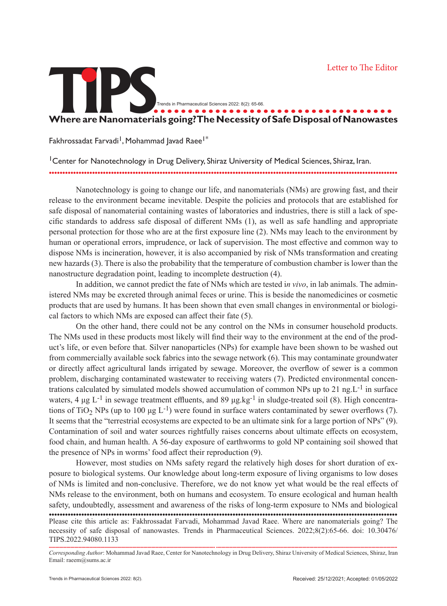## **TIPS................................... Where are Nanomaterials going? The Necessity of Safe Disposal of Nanowastes** Trends in Pharmaceutical Sciences 2022: 8(2): 65-66.

Fakhrossadat Farvadi<sup>1</sup>, Mohammad Javad Raee<sup>1\*</sup>

<sup>1</sup> Center for Nanotechnology in Drug Delivery, Shiraz University of Medical Sciences, Shiraz, Iran. .................................................................................................................................

Nanotechnology is going to change our life, and nanomaterials (NMs) are growing fast, and their release to the environment became inevitable. Despite the policies and protocols that are established for safe disposal of nanomaterial containing wastes of laboratories and industries, there is still a lack of specific standards to address safe disposal of different NMs (1), as well as safe handling and appropriate personal protection for those who are at the first exposure line (2). NMs may leach to the environment by human or operational errors, imprudence, or lack of supervision. The most effective and common way to dispose NMs is incineration, however, it is also accompanied by risk of NMs transformation and creating new hazards (3). There is also the probability that the temperature of combustion chamber is lower than the nanostructure degradation point, leading to incomplete destruction (4).

In addition, we cannot predict the fate of NMs which are tested i*n vivo*, in lab animals. The administered NMs may be excreted through animal feces or urine. This is beside the nanomedicines or cosmetic products that are used by humans. It has been shown that even small changes in environmental or biological factors to which NMs are exposed can affect their fate (5).

On the other hand, there could not be any control on the NMs in consumer household products. The NMs used in these products most likely will find their way to the environment at the end of the product's life, or even before that. Silver nanoparticles (NPs) for example have been shown to be washed out from commercially available sock fabrics into the sewage network (6). This may contaminate groundwater or directly affect agricultural lands irrigated by sewage. Moreover, the overflow of sewer is a common problem, discharging contaminated wastewater to receiving waters (7). Predicted environmental concentrations calculated by simulated models showed accumulation of common NPs up to 21 ng. $L^{-1}$  in surface waters, 4 μg  $L^{-1}$  in sewage treatment effluents, and 89 μg.kg<sup>-1</sup> in sludge-treated soil (8). High concentrations of TiO<sub>2</sub> NPs (up to 100 μg L<sup>-1</sup>) were found in surface waters contaminated by sewer overflows (7). It seems that the "terrestrial ecosystems are expected to be an ultimate sink for a large portion of NPs" (9). Contamination of soil and water sources rightfully raises concerns about ultimate effects on ecosystem, food chain, and human health. A 56-day exposure of earthworms to gold NP containing soil showed that the presence of NPs in worms' food affect their reproduction (9).

However, most studies on NMs safety regard the relatively high doses for short duration of exposure to biological systems. Our knowledge about long-term exposure of living organisms to low doses of NMs is limited and non-conclusive. Therefore, we do not know yet what would be the real effects of NMs release to the environment, both on humans and ecosystem. To ensure ecological and human health safety, undoubtedly, assessment and awareness of the risks of long-term exposure to NMs and biological Please cite this article as: Fakhrossadat Farvadi, Mohammad Javad Raee. Where are nanomaterials going? The necessity of safe disposal of nanowastes. Trends in Pharmaceutical Sciences. 2022;8(2):65-66. doi: 10.30476/ TIPS.2022.94080.1133 .................................................................................................................................

........................................................................................................................... ...................................................................................................................................... *Corresponding Author*: Mohammad Javad Raee, Center for Nanotechnology in Drug Delivery, Shiraz University of Medical Sciences, Shiraz, Iran Email: raeem@sums.ac.ir